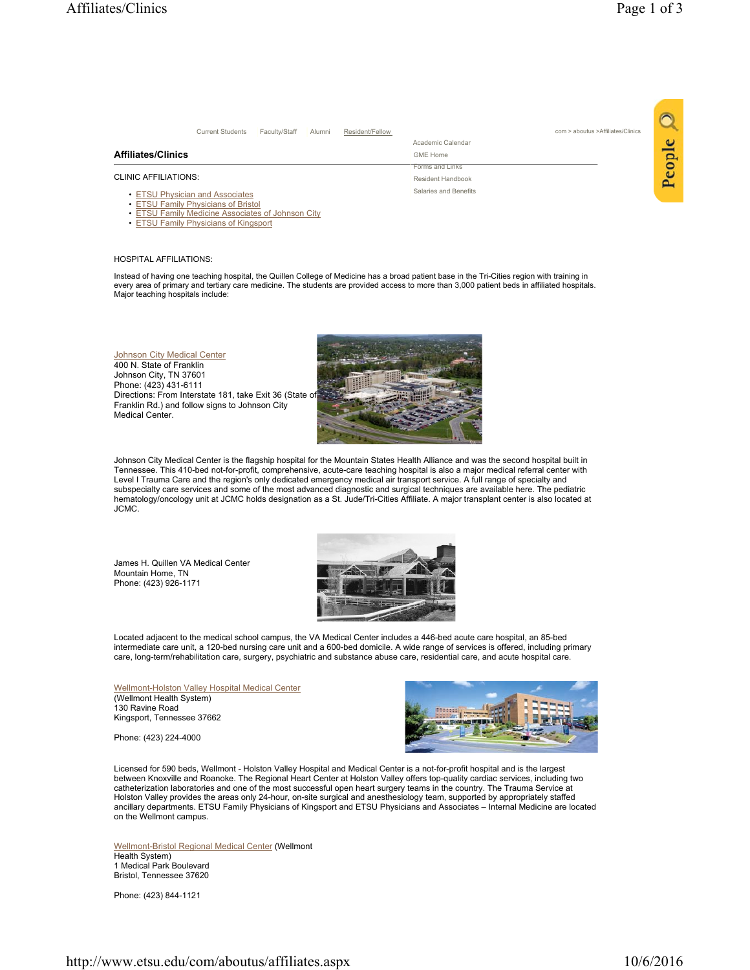|                                                                                          | <b>Current Students</b> | Faculty/Staff | Alumni | Resident/Fellow | com > aboutus > Affiliates/Clinics |   |
|------------------------------------------------------------------------------------------|-------------------------|---------------|--------|-----------------|------------------------------------|---|
|                                                                                          |                         |               |        |                 | Academic Calendar                  | c |
| <b>Affiliates/Clinics</b>                                                                |                         |               |        |                 | <b>GME Home</b>                    |   |
|                                                                                          |                         |               |        |                 | Forms and Links                    | ဥ |
| CLINIC AFFILIATIONS:                                                                     |                         |               |        |                 | Resident Handbook                  |   |
| • ETSU Physician and Associates                                                          |                         |               |        |                 | Salaries and Benefits              |   |
| • ETSU Family Physicians of Bristol<br>• ETSU Family Medicine Associates of Johnson City |                         |               |        |                 |                                    |   |
| • ETSU Family Physicians of Kingsport                                                    |                         |               |        |                 |                                    |   |

## HOSPITAL AFFILIATIONS:

Instead of having one teaching hospital, the Quillen College of Medicine has a broad patient base in the Tri-Cities region with training in<br>every area of primary and tertiary care medicine. The students are provided access Major teaching hospitals include:

## **Johnson City Medical Center** 400 N. State of Franklin Johnson City, TN 37601 Phone: (423) 431-6111 Directions: From Interstate 181, take Exit 36 (State of Franklin Rd.) and follow signs to Johnson City Medical Center.



Johnson City Medical Center is the flagship hospital for the Mountain States Health Alliance and was the second hospital built in Tennessee. This 410-bed not-for-profit, comprehensive, acute-care teaching hospital is also a major medical referral center with Level I Trauma Care and the region's only dedicated emergency medical air transport service. A full range of specialty and subspecialty care services and some of the most advanced diagnostic and surgical techniques are available here. The pediatric hematology/oncology unit at JCMC holds designation as a St. Jude/Tri-Cities Affiliate. A major transplant center is also located at JCMC.

James H. Quillen VA Medical Center Mountain Home, TN Phone: (423) 926-1171



Located adjacent to the medical school campus, the VA Medical Center includes a 446-bed acute care hospital, an 85-bed intermediate care unit, a 120-bed nursing care unit and a 600-bed domicile. A wide range of services is offered, including primary care, long-term/rehabilitation care, surgery, psychiatric and substance abuse care, residential care, and acute hospital care.

Wellmont-Holston Valley Hospital Medical Center (Wellmont Health System) 130 Ravine Road Kingsport, Tennessee 37662

Phone: (423) 224-4000



Licensed for 590 beds, Wellmont - Holston Valley Hospital and Medical Center is a not-for-profit hospital and is the largest between Knoxville and Roanoke. The Regional Heart Center at Holston Valley offers top-quality cardiac services, including two catheterization laboratories and one of the most successful open heart surgery teams in the country. The Trauma Service at Holston Valley provides the areas only 24-hour, on-site surgical and anesthesiology team, supported by appropriately staffed ancillary departments. ETSU Family Physicians of Kingsport and ETSU Physicians and Associates – Internal Medicine are located on the Wellmont campus.

Wellmont-Bristol Regional Medical Center (Wellmont Health System) 1 Medical Park Boulevard Bristol, Tennessee 37620

Phone: (423) 844-1121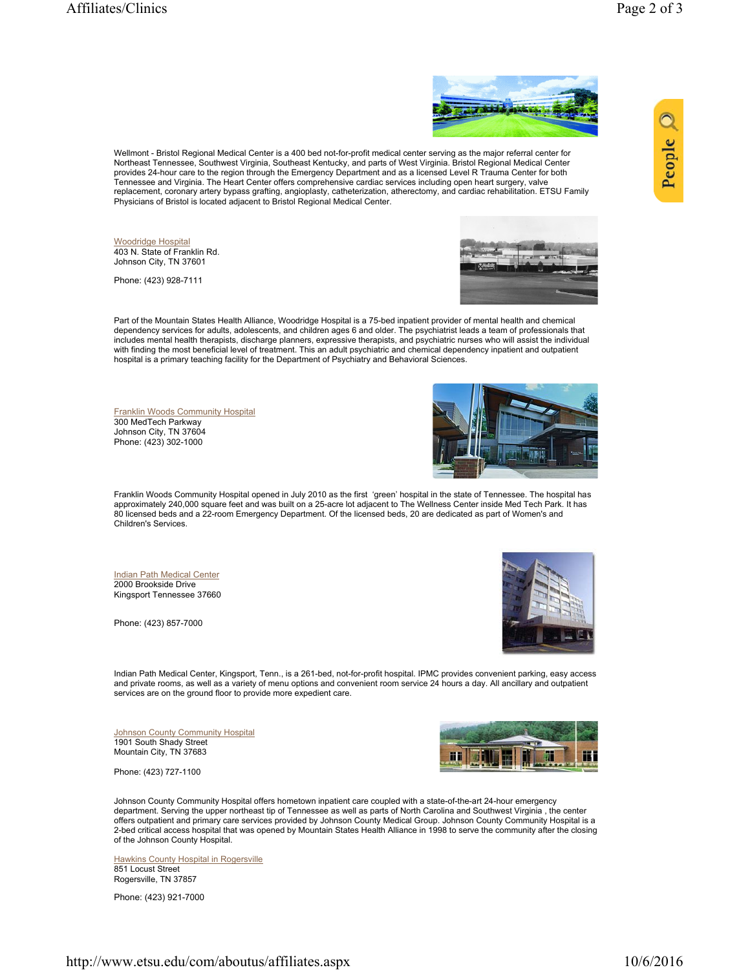People



Wellmont - Bristol Regional Medical Center is a 400 bed not-for-profit medical center serving as the major referral center for Northeast Tennessee, Southwest Virginia, Southeast Kentucky, and parts of West Virginia. Bristol Regional Medical Center provides 24-hour care to the region through the Emergency Department and as a licensed Level R Trauma Center for both<br>Tennessee and Virginia. The Heart Center offers comprehensive cardiac services including open heart surg replacement, coronary artery bypass grafting, angioplasty, catheterization, atherectomy, and cardiac rehabilitation. ETSU Family Physicians of Bristol is located adjacent to Bristol Regional Medical Center.

Woodridge Hospital 403 N. State of Franklin Rd. Johnson City, TN 37601

Phone: (423) 928-7111



Part of the Mountain States Health Alliance, Woodridge Hospital is a 75-bed inpatient provider of mental health and chemical dependency services for adults, adolescents, and children ages 6 and older. The psychiatrist leads a team of professionals that includes mental health therapists, discharge planners, expressive therapists, and psychiatric nurses who will assist the individual with finding the most beneficial level of treatment. This an adult psychiatric and chemical dependency inpatient and outpatient hospital is a primary teaching facility for the Department of Psychiatry and Behavioral Sciences.

Franklin Woods Community Hospital 300 MedTech Parkway Johnson City, TN 37604 Phone: (423) 302-1000



Franklin Woods Community Hospital opened in July 2010 as the first 'green' hospital in the state of Tennessee. The hospital has approximately 240,000 square feet and was built on a 25-acre lot adjacent to The Wellness Center inside Med Tech Park. It has 80 licensed beds and a 22-room Emergency Department. Of the licensed beds, 20 are dedicated as part of Women's and Children's Services.

Indian Path Medical Center 2000 Brookside Drive Kingsport Tennessee 37660

Phone: (423) 857-7000



Indian Path Medical Center, Kingsport, Tenn., is a 261-bed, not-for-profit hospital. IPMC provides convenient parking, easy access and private rooms, as well as a variety of menu options and convenient room service 24 hours a day. All ancillary and outpatient services are on the ground floor to provide more expedient care.

**Johnson County Community Hospital** 1901 South Shady Street Mountain City, TN 37683

Phone: (423) 727-1100



Johnson County Community Hospital offers hometown inpatient care coupled with a state-of-the-art 24-hour emergency department. Serving the upper northeast tip of Tennessee as well as parts of North Carolina and Southwest Virginia , the center offers outpatient and primary care services provided by Johnson County Medical Group. Johnson County Community Hospital is a 2-bed critical access hospital that was opened by Mountain States Health Alliance in 1998 to serve the community after the closing of the Johnson County Hospital.

**Hawkins County Hospital in Rogersville** 851 Locust Street Rogersville, TN 37857

Phone: (423) 921-7000